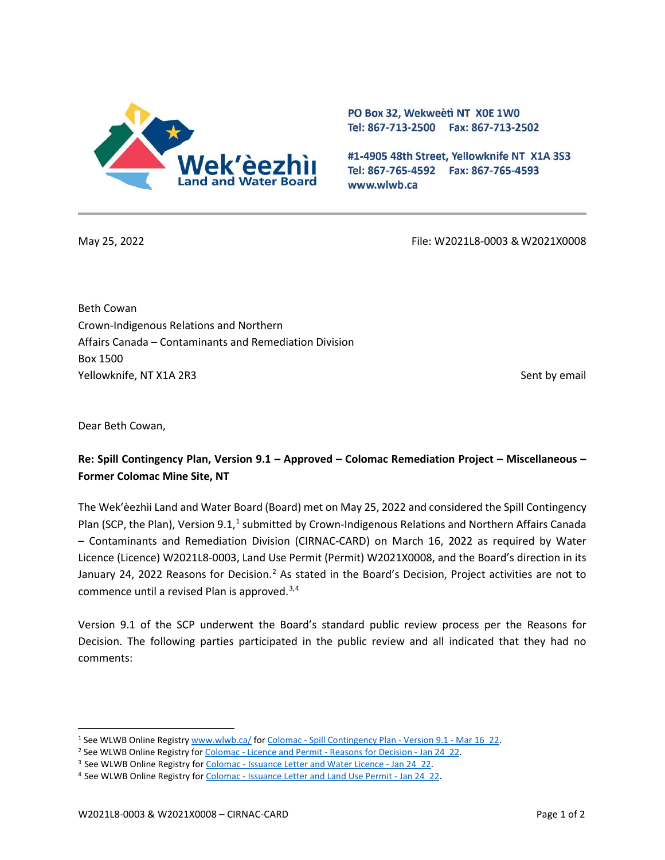

PO Box 32, Wekweeti NT X0E 1W0 Tel: 867-713-2500 Fax: 867-713-2502

#1-4905 48th Street, Yellowknife NT X1A 3S3 Tel: 867-765-4592 Fax: 867-765-4593 www.wlwb.ca

May 25, 2022 File: W2021L8-0003 & W2021X0008

Beth Cowan Crown-Indigenous Relations and Northern Affairs Canada – Contaminants and Remediation Division Box 1500 Yellowknife, NT X1A 2R3 Sent by email and the sent by email sent by email sent by email sent by email

Dear Beth Cowan,

## **Re: Spill Contingency Plan, Version 9.1 – Approved – Colomac Remediation Project – Miscellaneous – Former Colomac Mine Site, NT**

The Wek'èezhìi Land and Water Board (Board) met on May 25, 2022 and considered the Spill Contingency Plan (SCP, the Plan), Version 9.[1](#page-0-0),<sup>1</sup> submitted by Crown-Indigenous Relations and Northern Affairs Canada – Contaminants and Remediation Division (CIRNAC-CARD) on March 16, 2022 as required by Water Licence (Licence) W2021L8-0003, Land Use Permit (Permit) W2021X0008, and the Board's direction in its January [2](#page-0-1)4, 2022 Reasons for Decision.<sup>2</sup> As stated in the Board's Decision, Project activities are not to commence until a revised Plan is approved.<sup>[3,](#page-0-2)[4](#page-0-3)</sup>

Version 9.1 of the SCP underwent the Board's standard public review process per the Reasons for Decision. The following parties participated in the public review and all indicated that they had no comments:

<span id="page-0-0"></span><sup>&</sup>lt;sup>1</sup> See WLWB Online Registr[y www.wlwb.ca/](https://wlwb.ca/) for Colomac - [Spill Contingency Plan -](https://registry.mvlwb.ca/Documents/W2021X0008/Colomac%20-%20Spill%20Contingency%20Plan%20-%20Version%209.1%20-%20Mar%2016_22.pdf) Version 9.1 - Mar 16 22.

<span id="page-0-1"></span><sup>&</sup>lt;sup>2</sup> See WLWB Online Registry for Colomac - Licence and Permit - [Reasons for Decision -](https://registry.mvlwb.ca/Documents/W2021X0008/Colomac%20-%20Licence%20and%20Permit%20-%20Reasons%20for%20Decision%20-%20Jan%2024_22.pdf) Jan 24\_22.

<span id="page-0-2"></span><sup>&</sup>lt;sup>3</sup> See WLWB Online Registry for Colomac - [Issuance Letter and Water Licence -](https://registry.mvlwb.ca/Documents/W2021L8-0003/Colomac%20-%20Issuance%20Letter%20and%20Water%20Licence%20-%20Jan%2024_22.pdf) Jan 24 22.

<span id="page-0-3"></span><sup>&</sup>lt;sup>4</sup> See WLWB Online Registry for Colomac - [Issuance Letter and Land Use Permit -](https://registry.mvlwb.ca/Documents/W2021X0008/Colomac%20-%20Issuance%20Letter%20and%20Land%20Use%20Permit%20-%20Jan%2024_22.pdf) Jan 24 22.